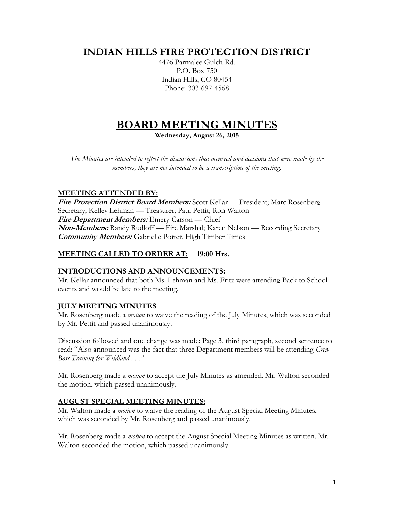## **INDIAN HILLS FIRE PROTECTION DISTRICT**

4476 Parmalee Gulch Rd. P.O. Box 750 Indian Hills, CO 80454 Phone: 303-697-4568

# **BOARD MEETING MINUTES**

**Wednesday, August 26, 2015**

*The Minutes are intended to reflect the discussions that occurred and decisions that were made by the members; they are not intended to be a transcription of the meeting.*

## **MEETING ATTENDED BY:**

**Fire Protection District Board Members:** Scott Kellar — President; Marc Rosenberg — Secretary; Kelley Lehman — Treasurer; Paul Pettit; Ron Walton **Fire Department Members:** Emery Carson — Chief **Non-Members:** Randy Rudloff — Fire Marshal; Karen Nelson — Recording Secretary **Community Members:** Gabrielle Porter, High Timber Times

## **MEETING CALLED TO ORDER AT: 19:00 Hrs.**

## **INTRODUCTIONS AND ANNOUNCEMENTS:**

Mr. Kellar announced that both Ms. Lehman and Ms. Fritz were attending Back to School events and would be late to the meeting.

## **JULY MEETING MINUTES**

Mr. Rosenberg made a *motion* to waive the reading of the July Minutes, which was seconded by Mr. Pettit and passed unanimously.

Discussion followed and one change was made: Page 3, third paragraph, second sentence to read: "Also announced was the fact that three Department members will be attending *Crew Boss Training for Wildland . . ."*

Mr. Rosenberg made a *motion* to accept the July Minutes as amended. Mr. Walton seconded the motion, which passed unanimously.

## **AUGUST SPECIAL MEETING MINUTES:**

Mr. Walton made a *motion* to waive the reading of the August Special Meeting Minutes, which was seconded by Mr. Rosenberg and passed unanimously.

Mr. Rosenberg made a *motion* to accept the August Special Meeting Minutes as written. Mr. Walton seconded the motion, which passed unanimously.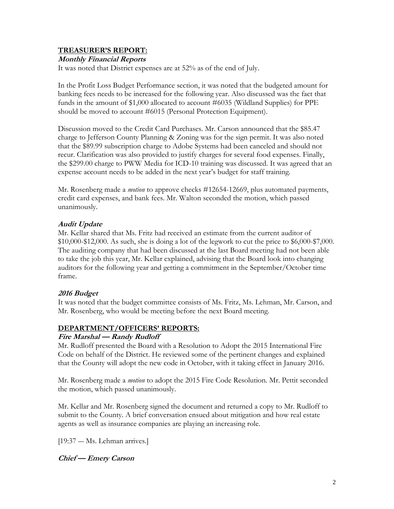## **TREASURER'S REPORT:**

## **Monthly Financial Reports**

It was noted that District expenses are at 52% as of the end of July.

In the Profit Loss Budget Performance section, it was noted that the budgeted amount for banking fees needs to be increased for the following year. Also discussed was the fact that funds in the amount of \$1,000 allocated to account #6035 (Wildland Supplies) for PPE should be moved to account #6015 (Personal Protection Equipment).

Discussion moved to the Credit Card Purchases. Mr. Carson announced that the \$85.47 charge to Jefferson County Planning & Zoning was for the sign permit. It was also noted that the \$89.99 subscription charge to Adobe Systems had been canceled and should not recur. Clarification was also provided to justify charges for several food expenses. Finally, the \$299.00 charge to PWW Media for ICD-10 training was discussed. It was agreed that an expense account needs to be added in the next year's budget for staff training.

Mr. Rosenberg made a *motion* to approve checks #12654-12669, plus automated payments, credit card expenses, and bank fees. Mr. Walton seconded the motion, which passed unanimously.

## **Audit Update**

Mr. Kellar shared that Ms. Fritz had received an estimate from the current auditor of \$10,000-\$12,000. As such, she is doing a lot of the legwork to cut the price to \$6,000-\$7,000. The auditing company that had been discussed at the last Board meeting had not been able to take the job this year, Mr. Kellar explained, advising that the Board look into changing auditors for the following year and getting a commitment in the September/October time frame.

## **2016 Budget**

It was noted that the budget committee consists of Ms. Fritz, Ms. Lehman, Mr. Carson, and Mr. Rosenberg, who would be meeting before the next Board meeting.

## **DEPARTMENT/OFFICERS' REPORTS:**

## **Fire Marshal — Randy Rudloff**

Mr. Rudloff presented the Board with a Resolution to Adopt the 2015 International Fire Code on behalf of the District. He reviewed some of the pertinent changes and explained that the County will adopt the new code in October, with it taking effect in January 2016.

Mr. Rosenberg made a *motion* to adopt the 2015 Fire Code Resolution. Mr. Pettit seconded the motion, which passed unanimously.

Mr. Kellar and Mr. Rosenberg signed the document and returned a copy to Mr. Rudloff to submit to the County. A brief conversation ensued about mitigation and how real estate agents as well as insurance companies are playing an increasing role.

[19:37 ― Ms. Lehman arrives.]

**Chief — Emery Carson**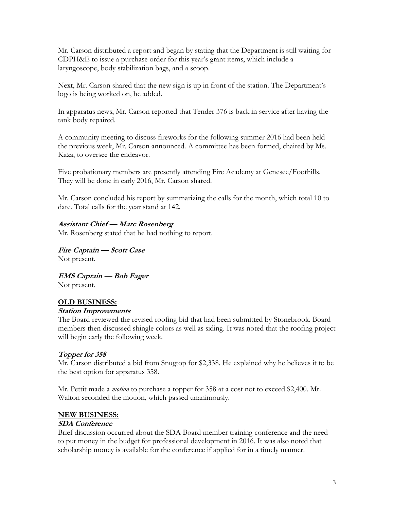Mr. Carson distributed a report and began by stating that the Department is still waiting for CDPH&E to issue a purchase order for this year's grant items, which include a laryngoscope, body stabilization bags, and a scoop.

Next, Mr. Carson shared that the new sign is up in front of the station. The Department's logo is being worked on, he added.

In apparatus news, Mr. Carson reported that Tender 376 is back in service after having the tank body repaired.

A community meeting to discuss fireworks for the following summer 2016 had been held the previous week, Mr. Carson announced. A committee has been formed, chaired by Ms. Kaza, to oversee the endeavor.

Five probationary members are presently attending Fire Academy at Genesee/Foothills. They will be done in early 2016, Mr. Carson shared.

Mr. Carson concluded his report by summarizing the calls for the month, which total 10 to date. Total calls for the year stand at 142.

## **Assistant Chief — Marc Rosenberg**

Mr. Rosenberg stated that he had nothing to report.

**Fire Captain — Scott Case** Not present.

**EMS Captain — Bob Fager** Not present.

## **OLD BUSINESS:**

## **Station Improvements**

The Board reviewed the revised roofing bid that had been submitted by Stonebrook. Board members then discussed shingle colors as well as siding. It was noted that the roofing project will begin early the following week.

## **Topper for 358**

Mr. Carson distributed a bid from Snugtop for \$2,338. He explained why he believes it to be the best option for apparatus 358.

Mr. Pettit made a *motion* to purchase a topper for 358 at a cost not to exceed \$2,400. Mr. Walton seconded the motion, which passed unanimously.

## **NEW BUSINESS:**

## **SDA Conference**

Brief discussion occurred about the SDA Board member training conference and the need to put money in the budget for professional development in 2016. It was also noted that scholarship money is available for the conference if applied for in a timely manner.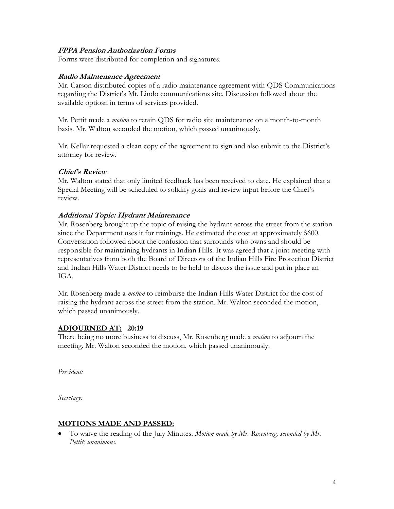#### **FPPA Pension Authorization Forms**

Forms were distributed for completion and signatures.

#### **Radio Maintenance Agreement**

Mr. Carson distributed copies of a radio maintenance agreement with QDS Communications regarding the District's Mt. Lindo communications site. Discussion followed about the available optiosn in terms of services provided.

Mr. Pettit made a *motion* to retain QDS for radio site maintenance on a month-to-month basis. Mr. Walton seconded the motion, which passed unanimously.

Mr. Kellar requested a clean copy of the agreement to sign and also submit to the District's attorney for review.

#### **Chief's Review**

Mr. Walton stated that only limited feedback has been received to date. He explained that a Special Meeting will be scheduled to solidify goals and review input before the Chief's review.

## **Additional Topic: Hydrant Maintenance**

Mr. Rosenberg brought up the topic of raising the hydrant across the street from the station since the Department uses it for trainings. He estimated the cost at approximately \$600. Conversation followed about the confusion that surrounds who owns and should be responsible for maintaining hydrants in Indian Hills. It was agreed that a joint meeting with representatives from both the Board of Directors of the Indian Hills Fire Protection District and Indian Hills Water District needs to be held to discuss the issue and put in place an IGA.

Mr. Rosenberg made a *motion* to reimburse the Indian Hills Water District for the cost of raising the hydrant across the street from the station. Mr. Walton seconded the motion, which passed unanimously.

## **ADJOURNED AT: 20:19**

There being no more business to discuss, Mr. Rosenberg made a *motion* to adjourn the meeting. Mr. Walton seconded the motion, which passed unanimously.

*President:*

*Secretary:*

#### **MOTIONS MADE AND PASSED:**

 To waive the reading of the July Minutes. *Motion made by Mr. Rosenberg; seconded by Mr. Pettit; unanimous.*